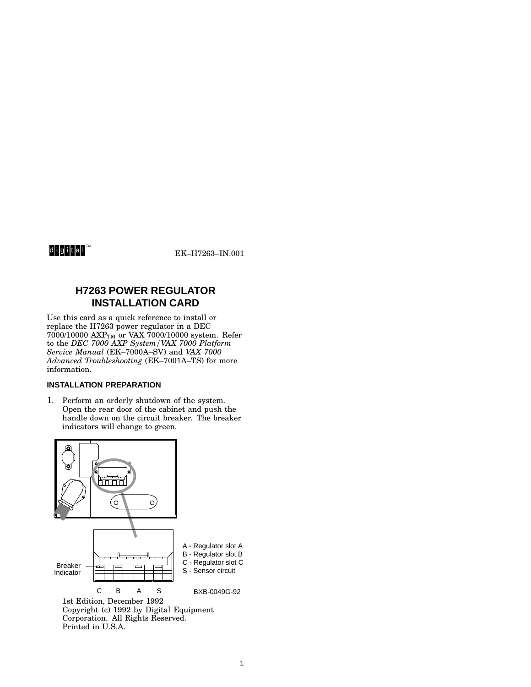# d<mark>igital™</mark>

EK-H7263-IN.001

# **H7263 POWER REGULATOR INSTALLATION CARD**

Use this card as a quick reference to install or replace the H7263 power regulator in a DEC  $7000/10000$   $\text{AXP}_{\text{TM}}$  or VAX  $7000/10000$  system. Refer to the *DEC 7000 AXP System/VAX 7000 Platform Service Manual* (EK–7000A–SV) and *VAX 7000 Advanced Troubleshooting* (EK–7001A–TS) for more information.

#### **INSTALLATION PREPARATION**

1. Perform an orderly shutdown of the system. Open the rear door of the cabinet and push the handle down on the circuit breaker. The breaker indicators will change to green.



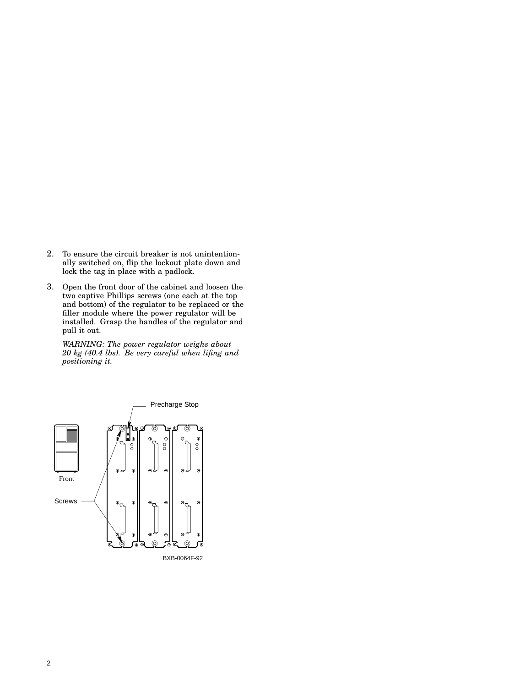- 2. To ensure the circuit breaker is not unintentionally switched on, flip the lockout plate down and lock the tag in place with a padlock.
- 3. Open the front door of the cabinet and loosen the two captive Phillips screws (one each at the top and bottom) of the regulator to be replaced or the filler module where the power regulator will be installed. Grasp the handles of the regulator and pull it out.

*WARNING: The power regulator weighs about 20 kg (40.4 lbs). Be very careful when lifing and positioning it.*

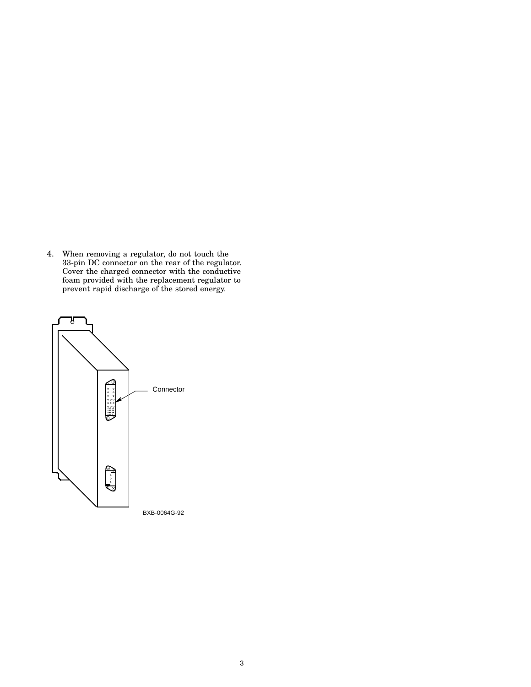4. When removing a regulator, do not touch the 33-pin DC connector on the rear of the regulator. Cover the charged connector with the conductive foam provided with the replacement regulator to prevent rapid discharge of the stored energy.

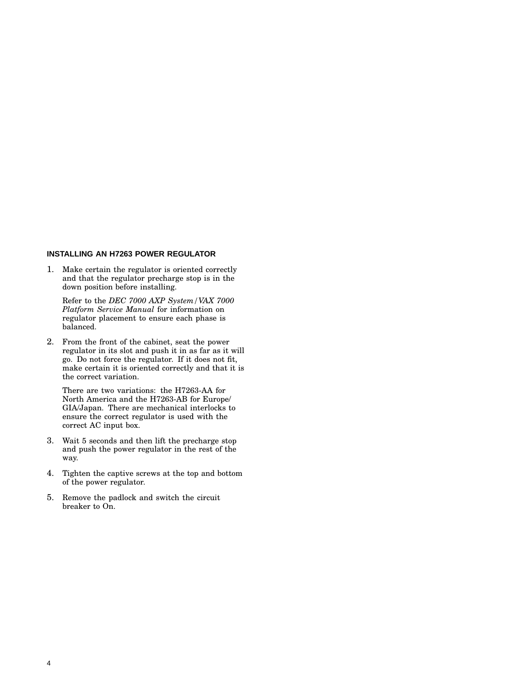## **INSTALLING AN H7263 POWER REGULATOR**

1. Make certain the regulator is oriented correctly and that the regulator precharge stop is in the down position before installing.

Refer to the *DEC 7000 AXP System/VAX 7000 Platform Service Manual* for information on regulator placement to ensure each phase is balanced.

2. From the front of the cabinet, seat the power regulator in its slot and push it in as far as it will go. Do not force the regulator. If it does not fit, make certain it is oriented correctly and that it is the correct variation.

There are two variations: the H7263-AA for North America and the H7263-AB for Europe/ GIA/Japan. There are mechanical interlocks to ensure the correct regulator is used with the correct AC input box.

- 3. Wait 5 seconds and then lift the precharge stop and push the power regulator in the rest of the way.
- 4. Tighten the captive screws at the top and bottom of the power regulator.
- 5. Remove the padlock and switch the circuit breaker to On.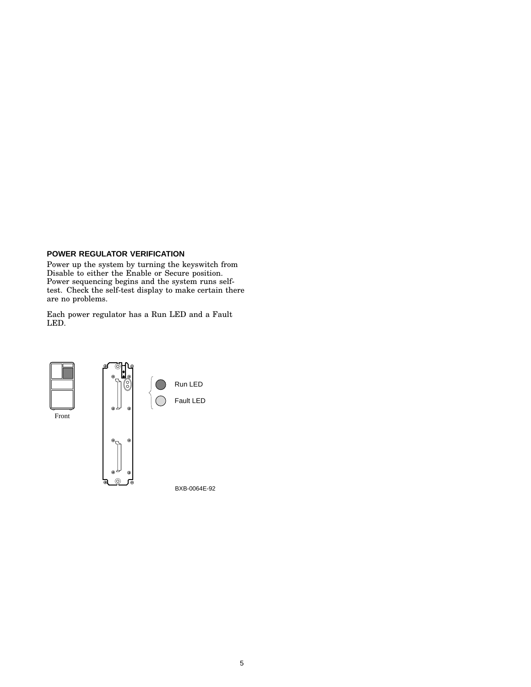## **POWER REGULATOR VERIFICATION**

Power up the system by turning the keyswitch from Disable to either the Enable or Secure position. Power sequencing begins and the system runs selftest. Check the self-test display to make certain there are no problems.

Each power regulator has a Run LED and a Fault LED.